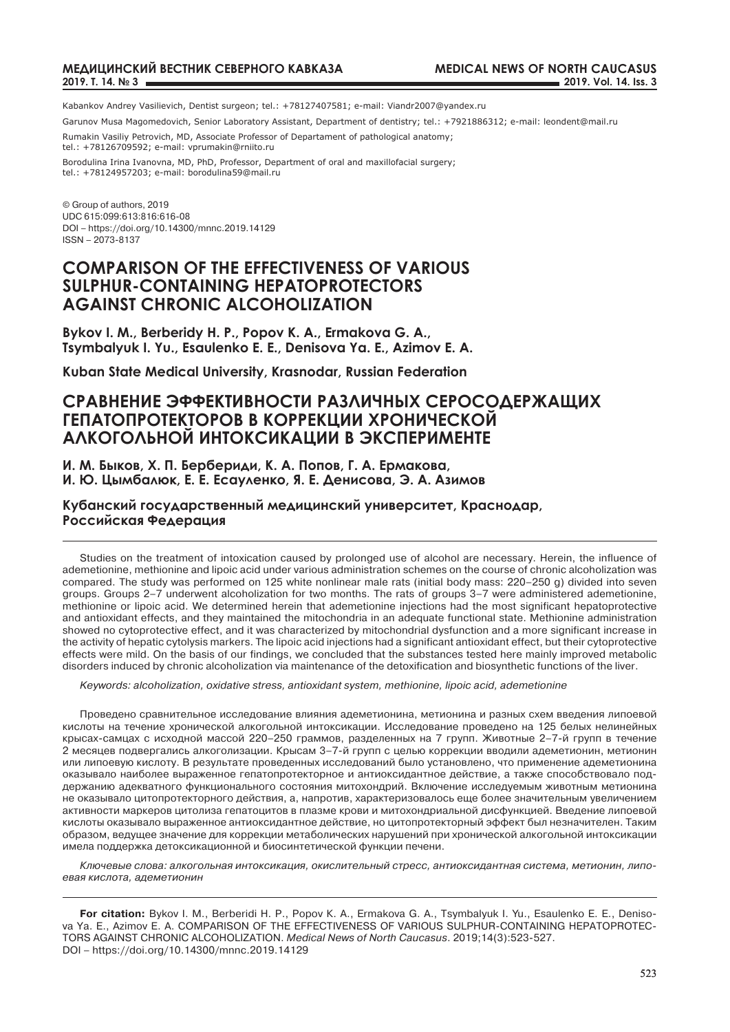Kabankov Andrey Vasilievich, Dentist surgeon; tel.: +78127407581; e-mail: Viandr2007@yandex.ru

Garunov Musa Magomedovich, Senior Laboratory Assistant, Department of dentistry; tel.: +7921886312; e-mail: leondent@mail.ru Rumakin Vasiliy Petrovich, MD, Associate Professor of Departament of pathological anatomy;

tel.: +78126709592; e-mail: vprumakin@rniito.ru

Borodulina Irina Ivanovna, MD, PhD, Professor, Department of oral and maxillofacial surgery; tel.: +78124957203; e-mail: borodulina59@mail.ru

© Group of authors, 2019 UDC 615:099:613:816:616-08 DOI – https://doi.org/10.14300/mnnc.2019.14129 ISSN – 2073-8137

### **COMPARISON OF THE EFFECTIVENESS OF VARIOUS SULPHUR-CONTAINING HEPATOPROTECTORS AGAINST CHRONIC ALCOHOLIZATION**

**Bykov I. М., Berberidy H. P., Popov К. А., Ermakova G. A., Tsymbalyuk I. Yu., Esaulenko Е. Е., Denisova Ya. E., Azimov E. A.**

**Kuban State Medical University, Krasnodar, Russian Federation**

### **Сравнение эффективности различных серосодержащих гепатопротекторов в коррекции хронической алкогольной интоксикации в эксперименте**

**И. М. Быков, Х. П. Бербериди, К. А. Попов, Г. А. Ермакова, И. Ю. Цымбалюк, Е. Е. Есауленко, Я. Е. Денисова, Э. А. Азимов**

**Кубанский государственный медицинский университет, Краснодар, Российская Федерация**

Studies on the treatment of intoxication caused by prolonged use of alcohol are necessary. Herein, the influence of ademetionine, methionine and lipoic acid under various administration schemes on the course of chronic alcoholization was compared. The study was performed on 125 white nonlinear male rats (initial body mass: 220–250 g) divided into seven groups. Groups 2–7 underwent alcoholization for two months. The rats of groups 3–7 were administered ademetionine, methionine or lipoic acid. We determined herein that ademetionine injections had the most significant hepatoprotective and antioxidant effects, and they maintained the mitochondria in an adequate functional state. Methionine administration showed no cytoprotective effect, and it was characterized by mitochondrial dysfunction and a more significant increase in the activity of hepatic cytolysis markers. The lipoic acid injections had a significant antioxidant effect, but their cytoprotective effects were mild. On the basis of our findings, we concluded that the substances tested here mainly improved metabolic disorders induced by chronic alcoholization via maintenance of the detoxification and biosynthetic functions of the liver.

*Keywords: alcoholization, oxidative stress, antioxidant system, methionine, lipoic acid, ademetionine*

Проведено сравнительное исследование влияния адеметионина, метионина и разных схем введения липоевой кислоты на течение хронической алкогольной интоксикации. Исследование проведено на 125 белых нелинейных крысах-самцах с исходной массой 220–250 граммов, разделенных на 7 групп. Животные 2–7-й групп в течение 2 месяцев подвергались алкоголизации. Крысам 3–7-й групп с целью коррекции вводили адеметионин, метионин или липоевую кислоту. В результате проведенных исследований было установлено, что применение адеметионина оказывало наиболее выраженное гепатопротекторное и антиоксидантное действие, а также способствовало поддержанию адекватного функционального состояния митохондрий. Включение исследуемым животным метионина не оказывало цитопротекторного действия, а, напротив, характеризовалось еще более значительным увеличением активности маркеров цитолиза гепатоцитов в плазме крови и митохондриальной дисфункцией. Введение липоевой кислоты оказывало выраженное антиоксидантное действие, но цитопротекторный эффект был незначителен. Таким образом, ведущее значение для коррекции метаболических нарушений при хронической алкогольной интоксикации имела поддержка детоксикационной и биосинтетической функции печени.

*Ключевые слова: алкогольная интоксикация, окислительный стресс, антиоксидантная система, метионин, липоевая кислота, адеметионин*

**For citation:** Bykov I. М., Berberidi H. P., Popov К. А., Ermakova G. A., Tsymbalyuk I. Yu., Esaulenko Е. Е., Denisova Ya. E., Azimov E. A. COMPARISON OF THE EFFECTIVENESS OF VARIOUS SULPHUR-CONTAINING HEPATOPROTEC-TORS AGAINST CHRONIC ALCOHOLIZATION. *Medical News of North Caucasus*. 2019;14(3):523-527. DOI – https://doi.org/10.14300/mnnc.2019.14129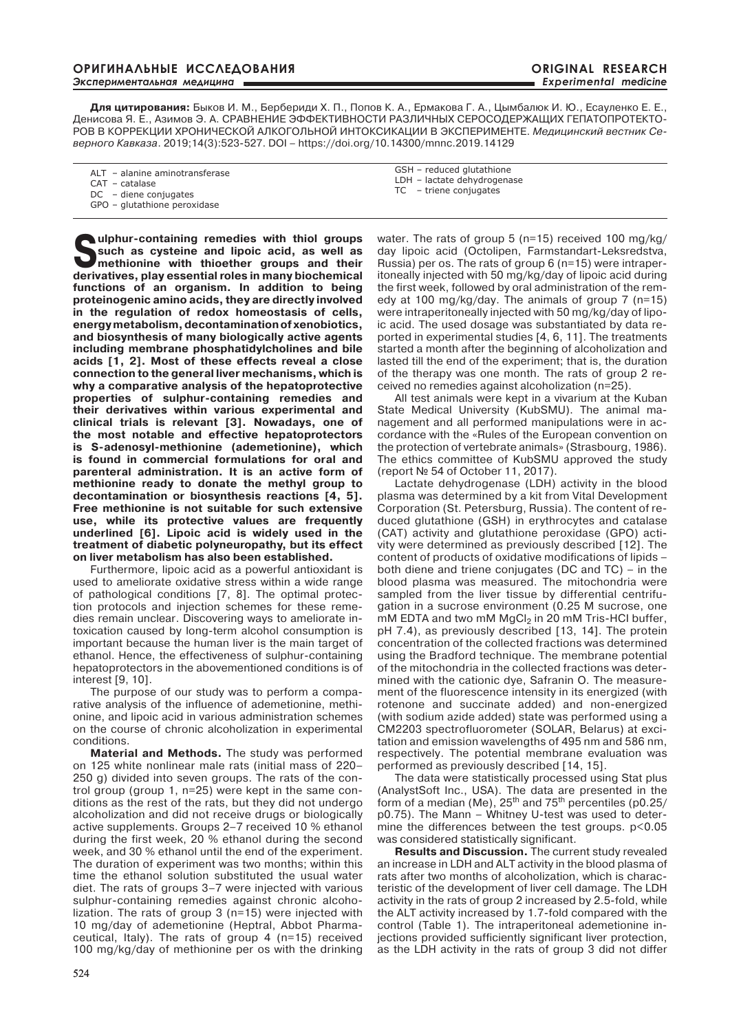**Для цитирования:** Быков И. М., Бербериди Х. П., Попов К. А., Ермакова Г. А., Цымбалюк И. Ю., Есауленко Е. Е., Денисова Я. Е., Азимов Э. А. СРАВНЕНИЕ ЭФФЕКТИВНОСТИ РАЗЛИЧНЫХ СЕРОСОДЕРЖАЩИХ ГЕПАТОПРОТЕКТО-РОВ В КОРРЕКЦИИ ХРОНИЧЕСКОЙ АЛКОГОЛЬНОЙ ИНТОКСИКАЦИИ В ЭКСПЕРИМЕНТЕ. *Медицинский вестник Северного Кавказа*. 2019;14(3):523-527. DOI – https://doi.org/10.14300/mnnc.2019.14129

| ALT - alanine aminotransferase |
|--------------------------------|
|                                |

- CAT catalase
- DC diene conjugates
- GPO glutathione peroxidase

**Sulphur-containing remedies with thiol groups such as cysteine and lipoic acid, as well as methionine with thioether groups and their derivatives, play essential roles in many biochemical functions of an organism. In addition to being proteinogenic amino acids, they are directly involved in the regulation of redox homeostasis of cells, energy metabolism, decontamination of xenobiotics, and biosynthesis of many biologically active agents including membrane phosphatidylcholines and bile acids [1, 2]. Most of these effects reveal a close connection to the general liver mechanisms, which is why a comparative analysis of the hepatoprotective properties of sulphur-containing remedies and their derivatives within various experimental and clinical trials is relevant [3]. Nowadays, one of the most notable and effective hepatoprotectors is S-adenosyl-methionine (ademetionine), which is found in commercial formulations for oral and parenteral administration. It is an active form of methionine ready to donate the methyl group to decontamination or biosynthesis reactions [4, 5]. Free methionine is not suitable for such extensive use, while its protective values are frequently underlined [6]. Lipoic acid is widely used in the treatment of diabetic polyneuropathy, but its effect on liver metabolism has also been established.**

Furthermore, lipoic acid as a powerful antioxidant is used to ameliorate oxidative stress within a wide range of pathological conditions [7, 8]. The optimal protection protocols and injection schemes for these remedies remain unclear. Discovering ways to ameliorate intoxication caused by long-term alcohol consumption is important because the human liver is the main target of ethanol. Hence, the effectiveness of sulphur-containing hepatoprotectors in the abovementioned conditions is of interest [9, 10].

The purpose of our study was to perform a comparative analysis of the influence of ademetionine, methionine, and lipoic acid in various administration schemes on the course of chronic alcoholization in experimental conditions.

**Material and Methods.** The study was performed on 125 white nonlinear male rats (initial mass of 220– 250 g) divided into seven groups. The rats of the control group (group 1, n=25) were kept in the same conditions as the rest of the rats, but they did not undergo alcoholization and did not receive drugs or biologically active supplements. Groups 2–7 received 10 % ethanol during the first week, 20 % ethanol during the second week, and 30 % ethanol until the end of the experiment. The duration of experiment was two months; within this time the ethanol solution substituted the usual water diet. The rats of groups 3–7 were injected with various sulphur-containing remedies against chronic alcoholization. The rats of group 3 (n=15) were injected with 10 mg/day of ademetionine (Heptral, Abbot Pharmaceutical, Italy). The rats of group 4 (n=15) received 100 mg/kg/day of methionine per os with the drinking GSH – reduced glutathione LDH – lactate dehydrogenase TC – triene conjugates

water. The rats of group 5 (n=15) received 100 mg/kg/ day lipoic acid (Octolipen, Farmstandart-Leksredstva, Russia) per os. The rats of group 6 (n=15) were intraperitoneally injected with 50 mg/kg/day of lipoic acid during the first week, followed by oral administration of the remedy at 100 mg/kg/day. The animals of group 7 (n=15) were intraperitoneally injected with 50 mg/kg/day of lipoic acid. The used dosage was substantiated by data reported in experimental studies [4, 6, 11]. The treatments started a month after the beginning of alcoholization and lasted till the end of the experiment; that is, the duration of the therapy was one month. The rats of group 2 received no remedies against alcoholization (n=25).

All test animals were kept in a vivarium at the Kuban State Medical University (KubSMU). The animal management and all performed manipulations were in accordance with the «Rules of the European convention on the protection of vertebrate animals» (Strasbourg, 1986). The ethics committee of KubSMU approved the study (report № 54 of October 11, 2017).

Lactate dehydrogenase (LDH) activity in the blood plasma was determined by a kit from Vital Development Corporation (St. Petersburg, Russia). The content of reduced glutathione (GSH) in erythrocytes and catalase (CAT) activity and glutathione peroxidase (GPO) activity were determined as previously described [12]. The content of products of oxidative modifications of lipids – both diene and triene conjugates (DC and TC) – in the blood plasma was measured. The mitochondria were sampled from the liver tissue by differential centrifugation in a sucrose environment (0.25 М sucrose, one mM EDTA and two mM MgCl<sub>2</sub> in 20 mM Tris-HCI buffer, pH 7.4), as previously described [13, 14]. The protein concentration of the collected fractions was determined using the Bradford technique. The membrane potential of the mitochondria in the collected fractions was determined with the cationic dye, Safranin O. The measurement of the fluorescence intensity in its energized (with rotenone and succinate added) and non-energized (with sodium azide added) state was performed using a СМ2203 spectrofluorometer (SOLAR, Belarus) at excitation and emission wavelengths of 495 nm and 586 nm, respectively. The potential membrane evaluation was performed as previously described [14, 15].

The data were statistically processed using Stat plus (AnalystSoft Inc., USA). The data are presented in the form of a median (Me), 25<sup>th</sup> and 75<sup>th</sup> percentiles (p0.25/ р0.75). The Mann – Whitney U-test was used to determine the differences between the test groups. p<0.05 was considered statistically significant.

**Results and Discussion.** The current study revealed an increase in LDH and ALT activity in the blood plasma of rats after two months of alcoholization, which is characteristic of the development of liver cell damage. The LDH activity in the rats of group 2 increased by 2.5-fold, while the ALT activity increased by 1.7-fold compared with the control (Table 1). The intraperitoneal ademetionine injections provided sufficiently significant liver protection, as the LDH activity in the rats of group 3 did not differ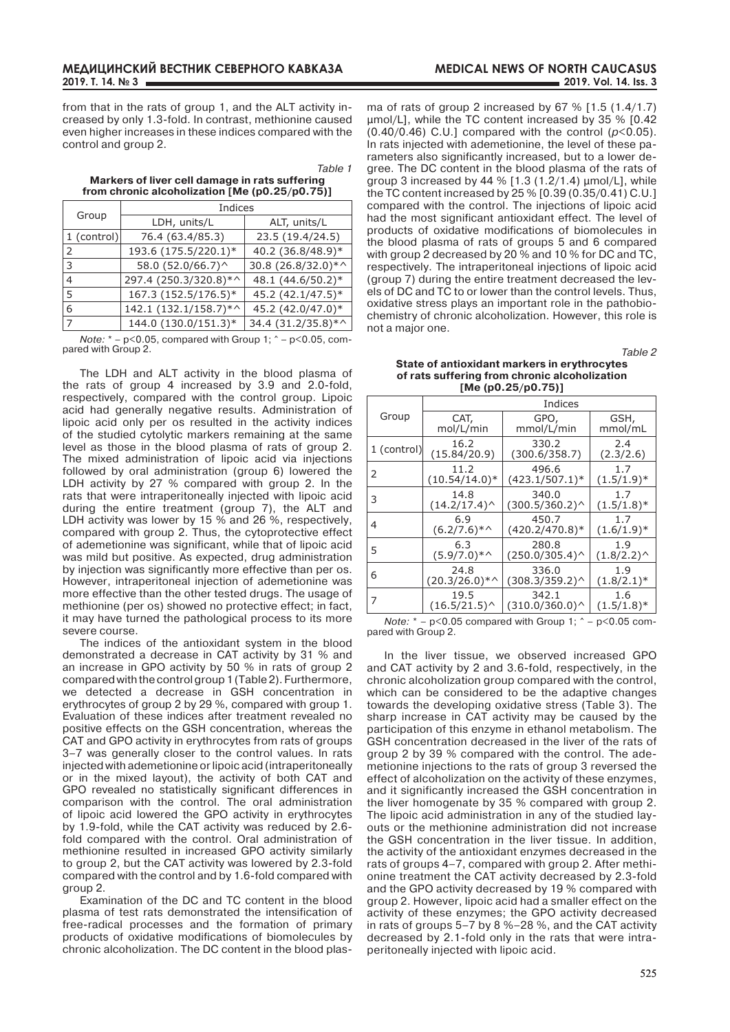from that in the rats of group 1, and the ALT activity increased by only 1.3-fold. In contrast, methionine caused even higher increases in these indices compared with the control and group 2.

|                                                | Table 1 |
|------------------------------------------------|---------|
| Markers of liver cell damage in rats suffering |         |
| from chronic alcoholization [Me (p0.25/p0.75)] |         |

|                           | Indices               |                    |  |
|---------------------------|-----------------------|--------------------|--|
| Group                     | LDH, units/L          | ALT, units/L       |  |
| 1 (control)               | 76.4 (63.4/85.3)      | 23.5 (19.4/24.5)   |  |
| $\mathcal{L}$             | 193.6 (175.5/220.1)*  | 40.2 (36.8/48.9)*  |  |
| 3                         | 58.0 (52.0/66.7)^     | 30.8 (26.8/32.0)*^ |  |
| 4                         | 297.4 (250.3/320.8)*^ | 48.1 (44.6/50.2)*  |  |
| 167.3 (152.5/176.5)*<br>5 |                       | 45.2 (42.1/47.5)*  |  |
| 6                         | 142.1 (132.1/158.7)*^ | 45.2 (42.0/47.0)*  |  |
| 17                        | 144.0 (130.0/151.3)*  | 34.4 (31.2/35.8)*^ |  |

*Note:*  $* - p < 0.05$ , compared with Group 1;  $* - p < 0.05$ , compared with Group 2.

The LDH and ALT activity in the blood plasma of the rats of group 4 increased by 3.9 and 2.0-fold, respectively, compared with the control group. Lipoic acid had generally negative results. Administration of lipoic acid only per os resulted in the activity indices of the studied cytolytic markers remaining at the same level as those in the blood plasma of rats of group 2. The mixed administration of lipoic acid via injections followed by oral administration (group 6) lowered the LDH activity by 27 % compared with group 2. In the rats that were intraperitoneally injected with lipoic acid during the entire treatment (group 7), the ALT and LDH activity was lower by 15 % and 26 %, respectively. compared with group 2. Thus, the cytoprotective effect of ademetionine was significant, while that of lipoic acid was mild but positive. As expected, drug administration by injection was significantly more effective than per os. However, intraperitoneal injection of ademetionine was more effective than the other tested drugs. The usage of methionine (per os) showed no protective effect; in fact, it may have turned the pathological process to its more severe course.

The indices of the antioxidant system in the blood demonstrated a decrease in CAT activity by 31 % and an increase in GPO activity by 50 % in rats of group 2 compared with the control group 1 (Table 2). Furthermore, we detected a decrease in GSH concentration in erythrocytes of group 2 by 29 %, compared with group 1. Evaluation of these indices after treatment revealed no positive effects on the GSH concentration, whereas the CAT and GPO activity in erythrocytes from rats of groups 3–7 was generally closer to the control values. In rats injected with ademetionine or lipoic acid (intraperitoneally or in the mixed layout), the activity of both CAT and GPO revealed no statistically significant differences in comparison with the control. The oral administration of lipoic acid lowered the GPO activity in erythrocytes by 1.9-fold, while the CAT activity was reduced by 2.6 fold compared with the control. Oral administration of methionine resulted in increased GPO activity similarly to group 2, but the CAT activity was lowered by 2.3-fold compared with the control and by 1.6-fold compared with group 2.

Examination of the DC and TC content in the blood plasma of test rats demonstrated the intensification of free-radical processes and the formation of primary products of oxidative modifications of biomolecules by chronic alcoholization. The DC content in the blood plas-

ma of rats of group 2 increased by 67 % [1.5 (1.4/1.7) μmol/L], while the TC content increased by 35 % [0.42 (0.40/0.46) C.U.] compared with the control (*р*<0.05). In rats injected with ademetionine, the level of these parameters also significantly increased, but to a lower degree. The DC content in the blood plasma of the rats of group 3 increased by 44 % [1.3 (1.2/1.4) μmol/L], while the TC content increased by 25 % [0.39 (0.35/0.41) C.U.] compared with the control. The injections of lipoic acid had the most significant antioxidant effect. The level of products of oxidative modifications of biomolecules in the blood plasma of rats of groups 5 and 6 compared with group 2 decreased by 20 % and 10 % for DC and TC, respectively. The intraperitoneal injections of lipoic acid (group 7) during the entire treatment decreased the levels of DC and TC to or lower than the control levels. Thus, oxidative stress plays an important role in the pathobiochemistry of chronic alcoholization. However, this role is not a major one.

*Table 2*

**State of antioxidant markers in erythrocytes of rats suffering from chronic alcoholization [Ме (р0.25/р0.75)]**

|             | Indices                  |                          |                      |
|-------------|--------------------------|--------------------------|----------------------|
| Group       | CAT,                     | GPO,                     | GSH,                 |
|             | mol/L/min                | mmol/L/min               | mmol/mL              |
| 1 (control) | 16.2                     | 330.2                    | 2.4                  |
|             | (15.84/20.9)             | (300.6/358.7)            | (2.3/2.6)            |
| 2           | 11.2                     | 496.6                    | 1.7                  |
|             | $(10.54/14.0)*$          | (423.1/507.1)*           | $(1.5/1.9)^*$        |
| 3           | 14.8                     | 340.0                    | 1.7                  |
|             | $(14.2/17.4)^{\wedge}$   | $(300.5/360.2)^{\wedge}$ | $(1.5/1.8)^*$        |
| 4           | 6.9                      | 450.7                    | 1.7                  |
|             | $(6.2/7.6)$ <sup>*</sup> | $(420.2/470.8)*$         | $(1.6/1.9)^*$        |
| 5           | 6.3                      | 280.8                    | 1.9                  |
|             | $(5.9/7.0)^*$            | $(250.0/305.4)^{\wedge}$ | $(1.8/2.2)^{\wedge}$ |
| 6           | 24.8                     | 336.0                    | 1.9                  |
|             | $(20.3/26.0)*^{\wedge}$  | (308.3/359.2)^           | $(1.8/2.1)^*$        |
| 7           | 19.5                     | 342.1                    | 1.6                  |
|             | $(16.5/21.5)^{\wedge}$   | $(310.0/360.0)^{\wedge}$ | $(1.5/1.8)^*$        |

*Note:*  $* - p < 0.05$  compared with Group 1;  $* - p < 0.05$  compared with Group 2.

In the liver tissue, we observed increased GPO and CAT activity by 2 and 3.6-fold, respectively, in the chronic alcoholization group compared with the control, which can be considered to be the adaptive changes towards the developing oxidative stress (Table 3). The sharp increase in CAT activity may be caused by the participation of this enzyme in ethanol metabolism. The GSH concentration decreased in the liver of the rats of group 2 by 39 % compared with the control. The ademetionine injections to the rats of group 3 reversed the effect of alcoholization on the activity of these enzymes, and it significantly increased the GSH concentration in the liver homogenate by 35 % compared with group 2. The lipoic acid administration in any of the studied layouts or the methionine administration did not increase the GSH concentration in the liver tissue. In addition, the activity of the antioxidant enzymes decreased in the rats of groups 4–7, compared with group 2. After methionine treatment the CAT activity decreased by 2.3-fold and the GPO activity decreased by 19 % compared with group 2. However, lipoic acid had a smaller effect on the activity of these enzymes; the GPO activity decreased in rats of groups 5–7 by 8 %–28 %, and the CAT activity decreased by 2.1-fold only in the rats that were intraperitoneally injected with lipoic acid.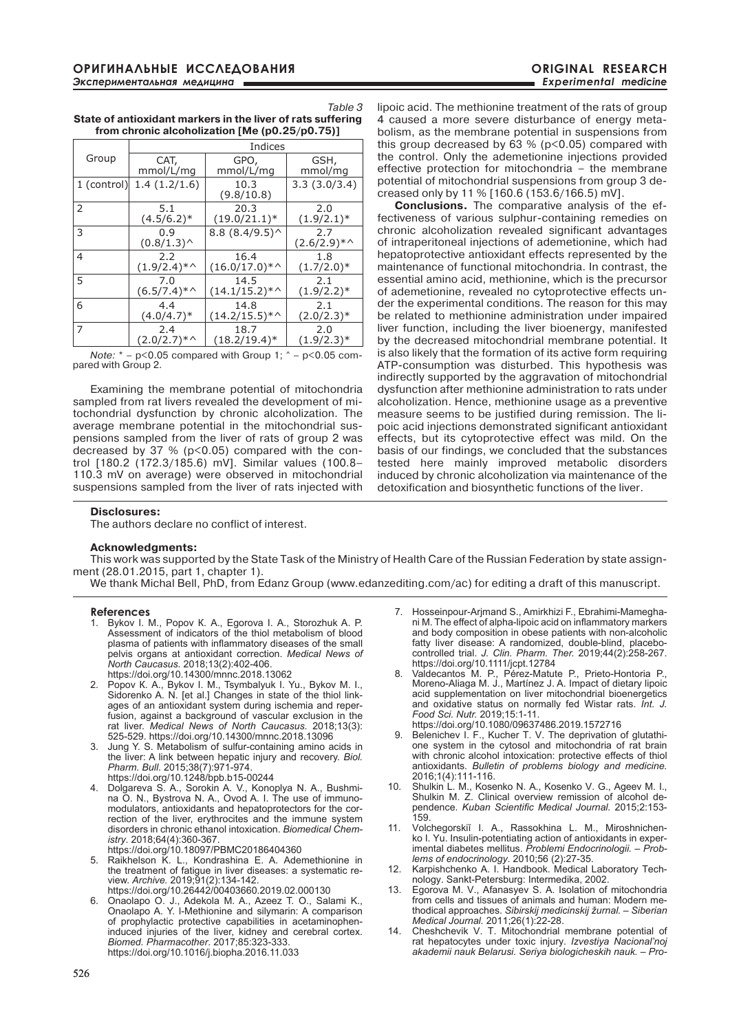*Table 3* **State of antioxidant markers in the liver of rats suffering from chronic alcoholization [Ме (р0.25/р0.75)]**

|               | Indices                  |                         |                      |
|---------------|--------------------------|-------------------------|----------------------|
| Group         | CAT,                     | GPO,                    | GSH,                 |
|               | mmol/L/mg                | mmol/L/mg               | mmol/mg              |
| $1$ (control) | 1.4(1.2/1.6)             | 10.3<br>(9.8/10.8)      | 3.3(3.0/3.4)         |
| 2             | 5.1                      | 20.3                    | 2.0                  |
|               | $(4.5/6.2)*$             | $(19.0/21.1)^*$         | $(1.9/2.1)^*$        |
| 3             | 0.9<br>(0.8/1.3)         | $8.8(8.4/9.5)^{\wedge}$ | 2.7<br>$(2.6/2.9)^*$ |
| 4             | 2.2                      | 16.4                    | 1.8                  |
|               | $(1.9/2.4)$ *^           | $(16.0/17.0)*$          | $(1.7/2.0)*$         |
| 5             | 7.0                      | 14.5                    | 2.1                  |
|               | $(6.5/7.4)$ <sup>*</sup> | $(14.1/15.2)^*$         | $(1.9/2.2)^*$        |
| 6             | 4.4                      | 14.8                    | 2.1                  |
|               | $(4.0/4.7)*$             | $(14.2/15.5)*$          | $(2.0/2.3)*$         |
| 7             | 2.4                      | 18.7                    | 2.0                  |
|               | $(2.0/2.7)$ <sup>*</sup> | $(18.2/19.4)^*$         | $(1.9/2.3)*$         |

*Note:*  $* - p \le 0.05$  compared with Group 1:  $* - p \le 0.05$  compared with Group 2.

Examining the membrane potential of mitochondria sampled from rat livers revealed the development of mitochondrial dysfunction by chronic alcoholization. The average membrane potential in the mitochondrial suspensions sampled from the liver of rats of group 2 was decreased by 37 % ( $p < 0.05$ ) compared with the control [180.2 (172.3/185.6) mV]. Similar values (100.8– 110.3 mV on average) were observed in mitochondrial suspensions sampled from the liver of rats injected with lipoic acid. The methionine treatment of the rats of group 4 caused a more severe disturbance of energy metabolism, as the membrane potential in suspensions from this group decreased by  $63 \%$  ( $p < 0.05$ ) compared with the control. Only the ademetionine injections provided effective protection for mitochondria – the membrane potential of mitochondrial suspensions from group 3 decreased only by 11 % [160.6 (153.6/166.5) mV].

**Conclusions.** The comparative analysis of the effectiveness of various sulphur-containing remedies on chronic alcoholization revealed significant advantages of intraperitoneal injections of ademetionine, which had hepatoprotective antioxidant effects represented by the maintenance of functional mitochondria. In contrast, the essential amino acid, methionine, which is the precursor of ademetionine, revealed no cytoprotective effects under the experimental conditions. The reason for this may be related to methionine administration under impaired liver function, including the liver bioenergy, manifested by the decreased mitochondrial membrane potential. It is also likely that the formation of its active form requiring ATP-consumption was disturbed. This hypothesis was indirectly supported by the aggravation of mitochondrial dysfunction after methionine administration to rats under alcoholization. Hence, methionine usage as a preventive measure seems to be justified during remission. The lipoic acid injections demonstrated significant antioxidant effects, but its cytoprotective effect was mild. On the basis of our findings, we concluded that the substances tested here mainly improved metabolic disorders induced by chronic alcoholization via maintenance of the detoxification and biosynthetic functions of the liver.

### **Disclosures:**

The authors declare no conflict of interest.

#### **Acknowledgments:**

This work was supported by the State Task of the Ministry of Health Care of the Russian Federation by state assignment (28.01.2015, part 1, chapter 1).

We thank Michal Bell, PhD, from Edanz Group (www.edanzediting.com/ac) for editing a draft of this manuscript.

#### **References**

- 1. Bykov I. М., Popov К. А., Egorova I. А., Storozhuk A. P. Assessment of indicators of the thiol metabolism of blood plasma of patients with inflammatory diseases of the small pelvis organs at antioxidant correction. *Medical news of North Caucasus.* 2018;13(2):402-406. https://doi.org/10.14300/mnnc.2018.13062
- 2. Popov К. А., Bykov I. М., Tsymbalyuk I. Yu., Bykov М. I., Sidorenko A. N. [et al.] Changes in state of the thiol linkages of an antioxidant system during ischemia and reperfusion, against a background of vascular exclusion in the rat liver. *Medical news of North Caucasus.* 2018;13(3): 525-529. https://doi.org/10.14300/mnnc.2018.13096
- 3. Jung Y. S. Metabolism of sulfur-containing amino acids in the liver: A link between hepatic injury and recovery. *Biol. Pharm. Bull*. 2015;38(7):971-974. https://doi.org/10.1248/bpb.b15-00244
- 4. Dolgareva S. A., Sorokin A. V., Konoplya N. A., Bushmina O. N., Bystrova N. A., Ovod A. I. The use of immunomodulators, antioxidants and hepatoprotectors for the correction of the liver, erythrocites and the immune system disorders in chronic ethanol intoxication. *Biomedical Chemistry*. 2018;64(4):360-367. https://doi.org/10.18097/PBMC20186404360
- 5. Raikhelson K. L., Kondrashina E. A. Аdеmethionine in the treatment of fatigue in liver diseases: a systematic review. *archive.* 2019;91(2):134-142. https://doi.org/10.26442/00403660.2019.02.000130
- 6. Onaolapo O. J., Adekola M. A., Azeez T. O., Salami K., Onaolapo A. Y. l-Methionine and silymarin: A comparison of prophylactic protective capabilities in acetaminopheninduced injuries of the liver, kidney and cerebral cortex. *Biomed. Pharmacother*. 2017;85:323-333. https://doi.org/10.1016/j.biopha.2016.11.033
- 7. Hosseinpour-Arjmand S., Amirkhizi F., Ebrahimi-Mameghani M. The effect of alpha-lipoic acid on inflammatory markers and body composition in obese patients with non-alcoholic fatty liver disease: A randomized, double-blind, placebocontrolled trial. *J. Clin. Pharm. Ther.* 2019;44(2):258-267. https://doi.org/10.1111/jcpt.12784
- 8. Valdecantos M. P., Pérez-Matute P., Prieto-Hontoria P., Moreno-Aliaga M. J., Martínez J. A. Impact of dietary lipoic acid supplementation on liver mitochondrial bioenergetics and oxidative status on normally fed Wistar rats. *Int. J. Food Sci. Nutr.* 2019;15:1-11.
- https://doi.org/10.1080/09637486.2019.1572716
- Belenichev I. F., Kucher T. V. The deprivation of glutathione system in the cytosol and mitochondria of rat brain with chronic alcohol intoxication: protective effects of thiol antioxidants. *Bulletin of problems biology and medicine.*  2016;1(4):111-116.
- 10. Shulkin L. M., Kosenko N. A., Kosenko V. G., Ageev M. I., Shulkin M. Z. Clinical overview remission of alcohol dependence. *Kuban Scientific Medical Journal.* 2015;2:153- 159.
- 11. Volchegorskiĭ I. A., Rassokhina L. M., Miroshnichenko I. Yu. Insulin-potentiating action of antioxidants in experimental diabetes mellitus. *Problemi Endocrinologii. – Problems of endocrinology*. 2010;56 (2):27-35.
- 12. Karpishchenko A. I. Handbook. Medical Laboratory Technology. Sankt-Petersburg: Intermedika, 2002.
- 13. Egorova M. V., Afanasyev S. A. Isolation of mitochondria from cells and tissues of animals and human: Modern methodical approaches. *Sibirskij medicinskij žurnal. – Siberian Medical Journal.* 2011;26(1):22-28.
- 14. Cheshchevik V. T. Mitochondrial membrane potential of rat hepatocytes under toxic injury. *Izvestiya Nacional'noj akademii nauk Belarusi. Seriya biologicheskih nauk. – Pro-*